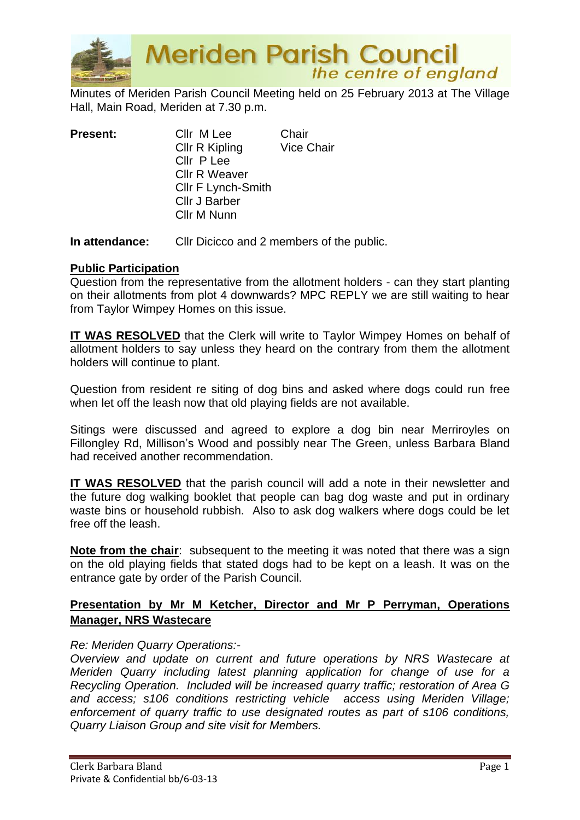

**Meriden Parish Council** the centre of england

Minutes of Meriden Parish Council Meeting held on 25 February 2013 at The Village Hall, Main Road, Meriden at 7.30 p.m.

| <b>Present:</b> | Cllr M Lee                | Chair             |
|-----------------|---------------------------|-------------------|
|                 | Cllr R Kipling            | <b>Vice Chair</b> |
|                 | Cllr P Lee                |                   |
|                 | <b>Cllr R Weaver</b>      |                   |
|                 | <b>CIIr F Lynch-Smith</b> |                   |
|                 | <b>Cllr J Barber</b>      |                   |
|                 | Cllr M Nunn               |                   |
|                 |                           |                   |

**In attendance:** Cllr Dicicco and 2 members of the public.

#### **Public Participation**

Question from the representative from the allotment holders - can they start planting on their allotments from plot 4 downwards? MPC REPLY we are still waiting to hear from Taylor Wimpey Homes on this issue.

**IT WAS RESOLVED** that the Clerk will write to Taylor Wimpey Homes on behalf of allotment holders to say unless they heard on the contrary from them the allotment holders will continue to plant.

Question from resident re siting of dog bins and asked where dogs could run free when let off the leash now that old playing fields are not available.

Sitings were discussed and agreed to explore a dog bin near Merriroyles on Fillongley Rd, Millison's Wood and possibly near The Green, unless Barbara Bland had received another recommendation.

**IT WAS RESOLVED** that the parish council will add a note in their newsletter and the future dog walking booklet that people can bag dog waste and put in ordinary waste bins or household rubbish. Also to ask dog walkers where dogs could be let free off the leash.

**Note from the chair**: subsequent to the meeting it was noted that there was a sign on the old playing fields that stated dogs had to be kept on a leash. It was on the entrance gate by order of the Parish Council.

# **Presentation by Mr M Ketcher, Director and Mr P Perryman, Operations Manager, NRS Wastecare**

#### *Re: Meriden Quarry Operations:-*

*Overview and update on current and future operations by NRS Wastecare at Meriden Quarry including latest planning application for change of use for a Recycling Operation. Included will be increased quarry traffic; restoration of Area G and access; s106 conditions restricting vehicle access using Meriden Village; enforcement of quarry traffic to use designated routes as part of s106 conditions, Quarry Liaison Group and site visit for Members.*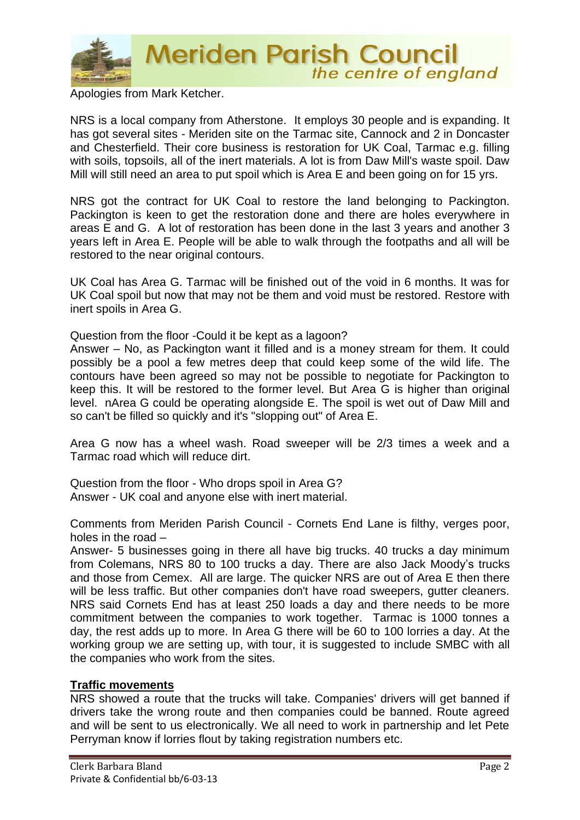

**Meriden Parish Council**<br>the centre of england

Apologies from Mark Ketcher.

NRS is a local company from Atherstone. It employs 30 people and is expanding. It has got several sites - Meriden site on the Tarmac site, Cannock and 2 in Doncaster and Chesterfield. Their core business is restoration for UK Coal, Tarmac e.g. filling with soils, topsoils, all of the inert materials. A lot is from Daw Mill's waste spoil. Daw Mill will still need an area to put spoil which is Area E and been going on for 15 yrs.

NRS got the contract for UK Coal to restore the land belonging to Packington. Packington is keen to get the restoration done and there are holes everywhere in areas E and G. A lot of restoration has been done in the last 3 years and another 3 years left in Area E. People will be able to walk through the footpaths and all will be restored to the near original contours.

UK Coal has Area G. Tarmac will be finished out of the void in 6 months. It was for UK Coal spoil but now that may not be them and void must be restored. Restore with inert spoils in Area G.

Question from the floor -Could it be kept as a lagoon?

Answer – No, as Packington want it filled and is a money stream for them. It could possibly be a pool a few metres deep that could keep some of the wild life. The contours have been agreed so may not be possible to negotiate for Packington to keep this. It will be restored to the former level. But Area G is higher than original level. nArea G could be operating alongside E. The spoil is wet out of Daw Mill and so can't be filled so quickly and it's "slopping out" of Area E.

Area G now has a wheel wash. Road sweeper will be 2/3 times a week and a Tarmac road which will reduce dirt.

Question from the floor - Who drops spoil in Area G? Answer - UK coal and anyone else with inert material.

Comments from Meriden Parish Council - Cornets End Lane is filthy, verges poor, holes in the road –

Answer- 5 businesses going in there all have big trucks. 40 trucks a day minimum from Colemans, NRS 80 to 100 trucks a day. There are also Jack Moody's trucks and those from Cemex. All are large. The quicker NRS are out of Area E then there will be less traffic. But other companies don't have road sweepers, gutter cleaners. NRS said Cornets End has at least 250 loads a day and there needs to be more commitment between the companies to work together. Tarmac is 1000 tonnes a day, the rest adds up to more. In Area G there will be 60 to 100 lorries a day. At the working group we are setting up, with tour, it is suggested to include SMBC with all the companies who work from the sites.

#### **Traffic movements**

NRS showed a route that the trucks will take. Companies' drivers will get banned if drivers take the wrong route and then companies could be banned. Route agreed and will be sent to us electronically. We all need to work in partnership and let Pete Perryman know if lorries flout by taking registration numbers etc.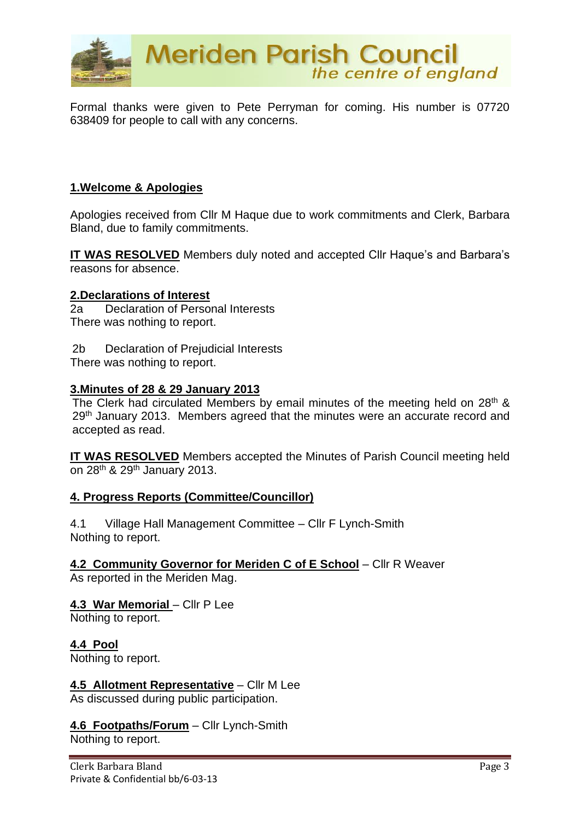

Formal thanks were given to Pete Perryman for coming. His number is 07720 638409 for people to call with any concerns.

## **1.Welcome & Apologies**

Apologies received from Cllr M Haque due to work commitments and Clerk, Barbara Bland, due to family commitments.

**IT WAS RESOLVED** Members duly noted and accepted Cllr Haque's and Barbara's reasons for absence.

#### **2.Declarations of Interest**

2a Declaration of Personal Interests There was nothing to report.

2b Declaration of Prejudicial Interests There was nothing to report.

#### **3.Minutes of 28 & 29 January 2013**

The Clerk had circulated Members by email minutes of the meeting held on 28<sup>th</sup> & 29<sup>th</sup> January 2013. Members agreed that the minutes were an accurate record and accepted as read.

**IT WAS RESOLVED** Members accepted the Minutes of Parish Council meeting held on 28th & 29th January 2013.

#### **4. Progress Reports (Committee/Councillor)**

4.1 Village Hall Management Committee – Cllr F Lynch-Smith Nothing to report.

**4.2 Community Governor for Meriden C of E School** – Cllr R Weaver As reported in the Meriden Mag.

# **4.3 War Memorial - Cllr P Lee**

Nothing to report.

**4.4 Pool**  Nothing to report.

**4.5 Allotment Representative** – Cllr M Lee As discussed during public participation.

**4.6 Footpaths/Forum** – Cllr Lynch-Smith Nothing to report.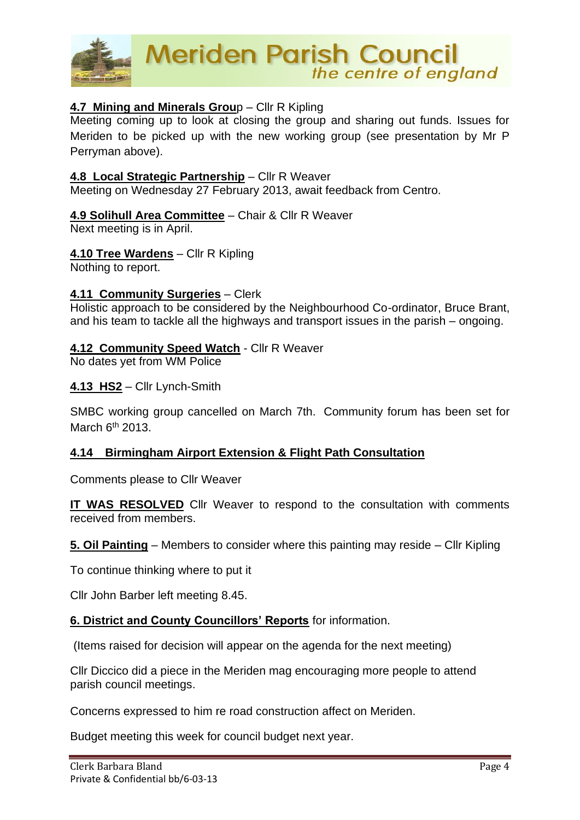

# **4.7 Mining and Minerals Grou**p – Cllr R Kipling

Meeting coming up to look at closing the group and sharing out funds. Issues for Meriden to be picked up with the new working group (see presentation by Mr P Perryman above).

## **4.8 Local Strategic Partnership** – Cllr R Weaver

Meeting on Wednesday 27 February 2013, await feedback from Centro.

# **4.9 Solihull Area Committee** – Chair & Cllr R Weaver

Next meeting is in April.

## **4.10 Tree Wardens** – Cllr R Kipling

Nothing to report.

## **4.11 Community Surgeries** – Clerk

Holistic approach to be considered by the Neighbourhood Co-ordinator, Bruce Brant, and his team to tackle all the highways and transport issues in the parish – ongoing.

#### **4.12 Community Speed Watch - Cllr R Weaver**

No dates yet from WM Police

#### **4.13 HS2** – Cllr Lynch-Smith

SMBC working group cancelled on March 7th. Community forum has been set for March  $6<sup>th</sup>$  2013.

# **4.14 Birmingham Airport Extension & Flight Path Consultation**

Comments please to Cllr Weaver

**IT WAS RESOLVED** Cllr Weaver to respond to the consultation with comments received from members.

**5. Oil Painting** – Members to consider where this painting may reside – Cllr Kipling

To continue thinking where to put it

Cllr John Barber left meeting 8.45.

#### **6. District and County Councillors' Reports** for information.

(Items raised for decision will appear on the agenda for the next meeting)

Cllr Diccico did a piece in the Meriden mag encouraging more people to attend parish council meetings.

Concerns expressed to him re road construction affect on Meriden.

Budget meeting this week for council budget next year.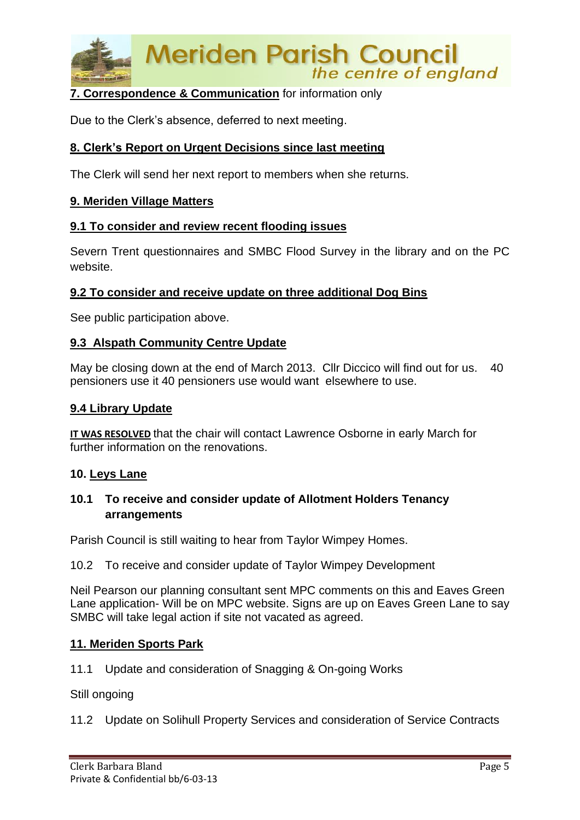

# **7. Correspondence & Communication** for information only

Due to the Clerk's absence, deferred to next meeting.

## **8. Clerk's Report on Urgent Decisions since last meeting**

The Clerk will send her next report to members when she returns.

#### **9. Meriden Village Matters**

#### **9.1 To consider and review recent flooding issues**

Severn Trent questionnaires and SMBC Flood Survey in the library and on the PC website.

#### **9.2 To consider and receive update on three additional Dog Bins**

See public participation above.

#### **9.3 Alspath Community Centre Update**

May be closing down at the end of March 2013. Cllr Diccico will find out for us. 40 pensioners use it 40 pensioners use would want elsewhere to use.

#### **9.4 Library Update**

**IT WAS RESOLVED** that the chair will contact Lawrence Osborne in early March for further information on the renovations.

#### **10. Leys Lane**

## **10.1 To receive and consider update of Allotment Holders Tenancy arrangements**

Parish Council is still waiting to hear from Taylor Wimpey Homes.

#### 10.2 To receive and consider update of Taylor Wimpey Development

Neil Pearson our planning consultant sent MPC comments on this and Eaves Green Lane application- Will be on MPC website. Signs are up on Eaves Green Lane to say SMBC will take legal action if site not vacated as agreed.

#### **11. Meriden Sports Park**

11.1 Update and consideration of Snagging & On-going Works

Still ongoing

11.2 Update on Solihull Property Services and consideration of Service Contracts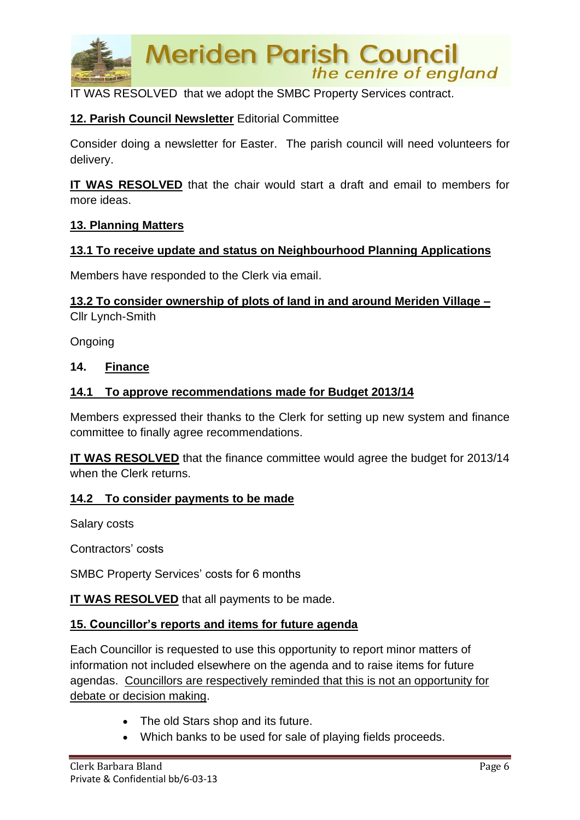

IT WAS RESOLVED that we adopt the SMBC Property Services contract.

# **12. Parish Council Newsletter** Editorial Committee

Consider doing a newsletter for Easter. The parish council will need volunteers for delivery.

**IT WAS RESOLVED** that the chair would start a draft and email to members for more ideas.

## **13. Planning Matters**

# **13.1 To receive update and status on Neighbourhood Planning Applications**

Members have responded to the Clerk via email.

**13.2 To consider ownership of plots of land in and around Meriden Village –** Cllr Lynch-Smith

Ongoing

## **14. Finance**

## **14.1 To approve recommendations made for Budget 2013/14**

Members expressed their thanks to the Clerk for setting up new system and finance committee to finally agree recommendations.

**IT WAS RESOLVED** that the finance committee would agree the budget for 2013/14 when the Clerk returns.

#### **14.2 To consider payments to be made**

Salary costs

Contractors' costs

SMBC Property Services' costs for 6 months

**IT WAS RESOLVED** that all payments to be made.

#### **15. Councillor's reports and items for future agenda**

Each Councillor is requested to use this opportunity to report minor matters of information not included elsewhere on the agenda and to raise items for future agendas. Councillors are respectively reminded that this is not an opportunity for debate or decision making.

- The old Stars shop and its future.
- Which banks to be used for sale of playing fields proceeds.